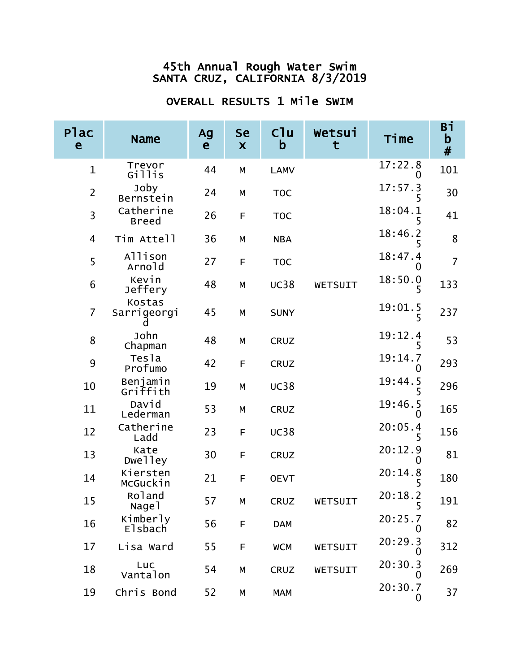| Plac<br>$\mathbf e$ | <b>Name</b>                | Ag<br>$\mathbf{e}$ | <b>Se</b><br>$\boldsymbol{\mathsf{X}}$ | C <sup>1</sup> u<br>b | Wetsui<br>t | Time         | Вi<br>$\mathbf b$<br># |
|---------------------|----------------------------|--------------------|----------------------------------------|-----------------------|-------------|--------------|------------------------|
| $\mathbf{1}$        | Trevor<br>Gillis           | 44                 | M                                      | <b>LAMV</b>           |             | 17:22.8<br>0 | 101                    |
| $\overline{2}$      | Joby<br>Bernstein          | 24                 | M                                      | <b>TOC</b>            |             | 17:57.3      | 30                     |
| 3                   | Catherine<br><b>Breed</b>  | 26                 | F                                      | <b>TOC</b>            |             | 18:04.1      | 41                     |
| $\overline{4}$      | Tim Attell                 | 36                 | M                                      | <b>NBA</b>            |             | 18:46.2      | 8                      |
| 5                   | Allison<br>Arnold          | 27                 | F                                      | <b>TOC</b>            |             | 18:47.4<br>O | $\overline{7}$         |
| $\boldsymbol{6}$    | Kevin<br>Jeffery           | 48                 | M                                      | <b>UC38</b>           | WETSUIT     | 18:50.0      | 133                    |
| $\overline{7}$      | Kostas<br>Sarrigeorgi<br>a | 45                 | M                                      | <b>SUNY</b>           |             | 19:01.5      | 237                    |
| 8                   | John<br>Chapman            | 48                 | M                                      | <b>CRUZ</b>           |             | 19:12.4<br>5 | 53                     |
| 9                   | Tesla<br>Profumo           | 42                 | F                                      | <b>CRUZ</b>           |             | 19:14.7<br>0 | 293                    |
| 10                  | Benjamin<br>Griffith       | 19                 | M                                      | <b>UC38</b>           |             | 19:44.5      | 296                    |
| 11                  | David<br>Lederman          | 53                 | M                                      | <b>CRUZ</b>           |             | 19:46.5      | 165                    |
| 12                  | Catherine<br>Ladd          | 23                 | F                                      | <b>UC38</b>           |             | 20:05.4      | 156                    |
| 13                  | Kate<br>Dwelley            | 30                 | F                                      | <b>CRUZ</b>           |             | 20:12.9      | 81                     |
| 14                  | Kiersten<br>McGuckin       | 21                 | F                                      | <b>OEVT</b>           |             | 20:14.8      | 180                    |
| 15                  | Roland<br>Nage1            | 57                 | М                                      | CRUZ                  | WETSUIT     | 20:18.2<br>5 | 191                    |
| 16                  | Kimberly<br><b>Elsbach</b> | 56                 | F                                      | <b>DAM</b>            |             | 20:25.7      | 82                     |
| 17                  | Lisa Ward                  | 55                 | F                                      | <b>WCM</b>            | WETSUIT     | 20:29.3      | 312                    |
| 18                  | Luc<br>Vantalon            | 54                 | М                                      | CRUZ                  | WETSUIT     | 20:30.3<br>O | 269                    |
| 19                  | Chris Bond                 | 52                 | М                                      | <b>MAM</b>            |             | 20:30.7<br>0 | 37                     |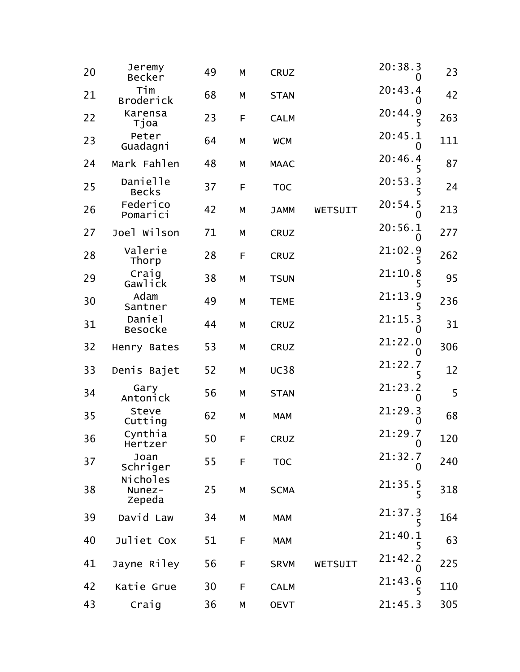| 20 | Jeremy<br>Becker             | 49 | М | <b>CRUZ</b> |         | 20:38.3<br>$\mathbf{0}$ | 23  |
|----|------------------------------|----|---|-------------|---------|-------------------------|-----|
| 21 | Tim<br><b>Broderick</b>      | 68 | М | <b>STAN</b> |         | 20:43.4<br>O            | 42  |
| 22 | Karensa<br>Tjoa              | 23 | F | <b>CALM</b> |         | 20:44.9<br>5            | 263 |
| 23 | Peter<br>Guadagni            | 64 | М | <b>WCM</b>  |         | 20:45.1<br>0            | 111 |
| 24 | Mark Fahlen                  | 48 | М | <b>MAAC</b> |         | 20:46.4<br>5            | 87  |
| 25 | Danielle<br><b>Becks</b>     | 37 | F | <b>TOC</b>  |         | 20:53.3                 | 24  |
| 26 | Federico<br>Pomarici         | 42 | M | <b>JAMM</b> | WETSUIT | 20:54.5<br>O            | 213 |
| 27 | Joel Wilson                  | 71 | М | <b>CRUZ</b> |         | 20:56.1<br>O            | 277 |
| 28 | Valerie<br>Thorp             | 28 | F | <b>CRUZ</b> |         | 21:02.9                 | 262 |
| 29 | Craig<br>Gawlick             | 38 | М | <b>TSUN</b> |         | 21:10.8                 | 95  |
| 30 | Adam<br>Santner              | 49 | M | <b>TEME</b> |         | 21:13.9<br>5            | 236 |
| 31 | Daniel<br><b>Besocke</b>     | 44 | М | <b>CRUZ</b> |         | 21:15.3<br>O            | 31  |
| 32 | Henry Bates                  | 53 | М | <b>CRUZ</b> |         | 21:22.0<br>0            | 306 |
| 33 | Denis Bajet                  | 52 | М | <b>UC38</b> |         | 21:22.7                 | 12  |
| 34 | Gary<br>Antonick             | 56 | М | <b>STAN</b> |         | 21:23.2<br>0            | 5   |
| 35 | Steve<br>Cutting             | 62 | М | <b>MAM</b>  |         | 21:29.3<br>O            | 68  |
| 36 | Cynthia<br>Hertzer           | 50 | F | <b>CRUZ</b> |         | 21:29.7<br>0            | 120 |
| 37 | Joan<br>Schriger             | 55 | F | <b>TOC</b>  |         | 21:32.7<br>0            | 240 |
| 38 | Nicholes<br>Nunez-<br>Zepeda | 25 | М | <b>SCMA</b> |         | 21:35.5<br>5            | 318 |
| 39 | David Law                    | 34 | М | <b>MAM</b>  |         | 21:37.3<br>5            | 164 |
| 40 | Juliet Cox                   | 51 | F | <b>MAM</b>  |         | 21:40.1<br>5            | 63  |
| 41 | Jayne Riley                  | 56 | F | <b>SRVM</b> | WETSUIT | 21:42.2<br>0            | 225 |
| 42 | Katie Grue                   | 30 | F | <b>CALM</b> |         | 21:43.6<br>5            | 110 |
| 43 | Craig                        | 36 | М | <b>OEVT</b> |         | 21:45.3                 | 305 |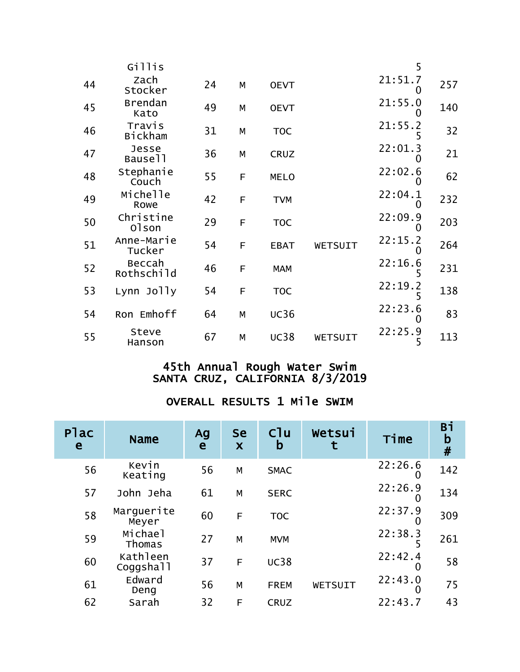|    | Gillis                   |    |   |             |         | 5                   |     |
|----|--------------------------|----|---|-------------|---------|---------------------|-----|
| 44 | Zach<br>Stocker          | 24 | М | <b>OEVT</b> |         | 21:51.7             | 257 |
| 45 | <b>Brendan</b><br>Kato   | 49 | M | <b>OEVT</b> |         | 21:55.0             | 140 |
| 46 | Travis<br><b>Bickham</b> | 31 | M | <b>TOC</b>  |         | 21:55.2             | 32  |
| 47 | Jesse<br>Bause11         | 36 | M | <b>CRUZ</b> |         | 22:01.3             | 21  |
| 48 | Stephanie<br>Couch       | 55 | F | <b>MELO</b> |         | 22:02.6             | 62  |
| 49 | Michelle<br>Rowe         | 42 | F | <b>TVM</b>  |         | 22:04.1<br>0        | 232 |
| 50 | Christine<br>01son       | 29 | F | <b>TOC</b>  |         | 22:09.9             | 203 |
| 51 | Anne-Marie<br>Tucker     | 54 | F | <b>EBAT</b> | WETSUIT | 22:15.2<br>$\Omega$ | 264 |
| 52 | Beccah<br>Rothschild     | 46 | F | <b>MAM</b>  |         | 22:16.6             | 231 |
| 53 | Lynn Jolly               | 54 | F | <b>TOC</b>  |         | 22:19.2             | 138 |
| 54 | Ron Emhoff               | 64 | M | <b>UC36</b> |         | 22:23.6             | 83  |
| 55 | Steve<br>Hanson          | 67 | M | <b>UC38</b> | WETSUIT | 22:25.9<br>5        | 113 |

| <b>Plac</b><br>e | <b>Name</b>           | Ag<br>e | <b>Se</b><br>$\boldsymbol{\mathsf{X}}$ | $C1$ u<br>b | Wetsui  | Time    | Bi<br>$\mathbf b$<br># |
|------------------|-----------------------|---------|----------------------------------------|-------------|---------|---------|------------------------|
| 56               | Kevin<br>Keating      | 56      | M                                      | <b>SMAC</b> |         | 22:26.6 | 142                    |
| 57               | John Jeha             | 61      | M                                      | <b>SERC</b> |         | 22:26.9 | 134                    |
| 58               | Marquerite<br>Meyer   | 60      | F                                      | <b>TOC</b>  |         | 22:37.9 | 309                    |
| 59               | Michael<br>Thomas     | 27      | M                                      | <b>MVM</b>  |         | 22:38.3 | 261                    |
| 60               | Kathleen<br>Coggshall | 37      | F                                      | <b>UC38</b> |         | 22:42.4 | 58                     |
| 61               | Edward<br>Deng        | 56      | M                                      | <b>FREM</b> | WETSUIT | 22:43.0 | 75                     |
| 62               | Sarah                 | 32      | F                                      | <b>CRUZ</b> |         | 22:43.7 | 43                     |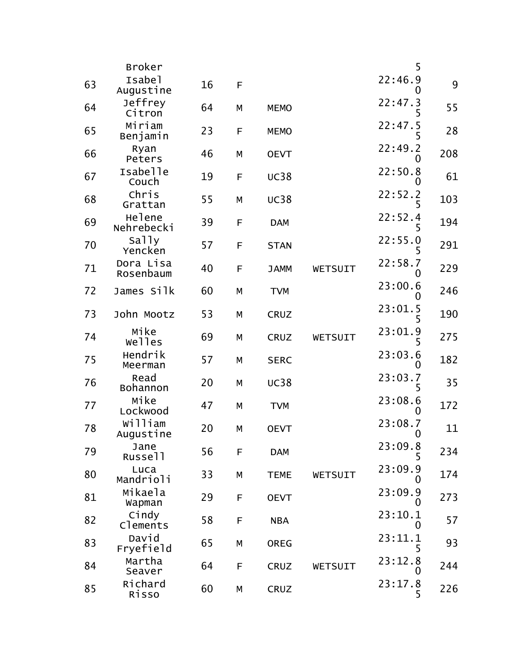|    | <b>Broker</b>          |    |   |             |         | 5                            |     |
|----|------------------------|----|---|-------------|---------|------------------------------|-----|
| 63 | Isabel<br>Augustine    | 16 | F |             |         | 22:46.9                      | 9   |
| 64 | Jeffrey<br>Citron      | 64 | М | <b>MEMO</b> |         | 22:47.3<br>5                 | 55  |
| 65 | Miriam<br>Benjamin     | 23 | F | <b>MEMO</b> |         | 22:47.5<br>5                 | 28  |
| 66 | Ryan<br>Peters         | 46 | М | <b>OEVT</b> |         | 22:49.2<br>0                 | 208 |
| 67 | Isabelle<br>Couch      | 19 | F | <b>UC38</b> |         | 22:50.8<br>O                 | 61  |
| 68 | Chris<br>Grattan       | 55 | М | <b>UC38</b> |         | 22:52.2<br>5                 | 103 |
| 69 | Helene<br>Nehrebecki   | 39 | F | <b>DAM</b>  |         | 22:52.4<br>5                 | 194 |
| 70 | Sally<br>Yencken       | 57 | F | <b>STAN</b> |         | 22:55.0                      | 291 |
| 71 | Dora Lisa<br>Rosenbaum | 40 | F | <b>JAMM</b> | WETSUIT | 22:58.7<br>O                 | 229 |
| 72 | James Silk             | 60 | М | <b>TVM</b>  |         | 23:00.6<br>0                 | 246 |
| 73 | John Mootz             | 53 | M | <b>CRUZ</b> |         | 23:01.5<br>5                 | 190 |
| 74 | Mike<br>welles         | 69 | М | <b>CRUZ</b> | WETSUIT | 23:01.9                      | 275 |
| 75 | Hendrik<br>Meerman     | 57 | M | <b>SERC</b> |         | 23:03.6<br>0                 | 182 |
| 76 | Read<br>Bohannon       | 20 | М | <b>UC38</b> |         | 23:03.7<br>5                 | 35  |
| 77 | Mike<br>Lockwood       | 47 | M | <b>TVM</b>  |         | 23:08.6<br>$\mathbf{0}$      | 172 |
| 78 | William<br>Augustine   | 20 | M | <b>OEVT</b> |         | 23:08.7<br>0                 | 11  |
| 79 | Jane<br>Russell        | 56 | F | <b>DAM</b>  |         | 23:09.8<br>5                 | 234 |
| 80 | Luca<br>Mandrioli      | 33 | М | <b>TEME</b> | WETSUIT | 23:09.9<br>$\mathbf{\Omega}$ | 174 |
| 81 | Mikaela<br>Wapman      | 29 | F | <b>OEVT</b> |         | 23:09.9<br>Ő                 | 273 |
| 82 | Cindy<br>Clements      | 58 | F | <b>NBA</b>  |         | 23:10.1<br>0                 | 57  |
| 83 | David<br>Fryefield     | 65 | М | <b>OREG</b> |         | 23:11.1<br>5                 | 93  |
| 84 | Martha<br>Seaver       | 64 | F | <b>CRUZ</b> | WETSUIT | 23:12.8<br>$\mathbf{\Omega}$ | 244 |
| 85 | Richard<br>Risso       | 60 | M | CRUZ        |         | 23:17.8<br>5                 | 226 |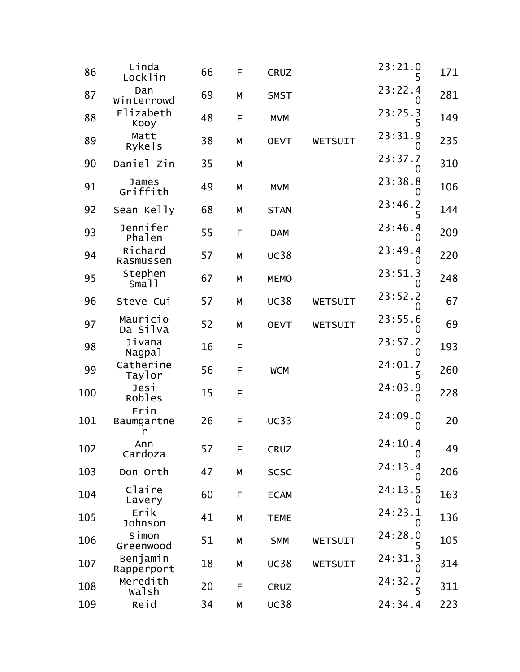| 86  | Linda<br>Locklin        | 66 | F           | <b>CRUZ</b> |         | 23:21.0<br>5            | 171 |
|-----|-------------------------|----|-------------|-------------|---------|-------------------------|-----|
| 87  | Dan<br>Winterrowd       | 69 | M           | <b>SMST</b> |         | 23:22.4                 | 281 |
| 88  | Elizabeth<br>Kooy       | 48 | $\mathsf F$ | <b>MVM</b>  |         | 23:25.3<br>5            | 149 |
| 89  | Matt<br>Rykels          | 38 | M           | <b>OEVT</b> | WETSUIT | 23:31.9<br>O            | 235 |
| 90  | Daniel Zin              | 35 | M           |             |         | 23:37.7<br>$\mathbf{0}$ | 310 |
| 91  | James<br>Griffith       | 49 | M           | <b>MVM</b>  |         | 23:38.8                 | 106 |
| 92  | Sean Kelly              | 68 | M           | <b>STAN</b> |         | 23:46.2<br>5            | 144 |
| 93  | Jennifer<br>Phalen      | 55 | $\mathsf F$ | <b>DAM</b>  |         | 23:46.4<br>O            | 209 |
| 94  | Richard<br>Rasmussen    | 57 | M           | <b>UC38</b> |         | 23:49.4<br>$\mathbf{0}$ | 220 |
| 95  | Stephen<br>Sma11        | 67 | M           | <b>MEMO</b> |         | 23:51.3                 | 248 |
| 96  | Steve Cui               | 57 | M           | <b>UC38</b> | WETSUIT | 23:52.2<br>O            | 67  |
| 97  | Mauricio<br>Da Silva    | 52 | М           | <b>OEVT</b> | WETSUIT | 23:55.6<br>0            | 69  |
| 98  | Jivana<br>Nagpal        | 16 | $\mathsf F$ |             |         | 23:57.2<br>O            | 193 |
| 99  | Catherine<br>Taylor     | 56 | F           | <b>WCM</b>  |         | 24:01.7<br>5            | 260 |
| 100 | Jesi<br>Robles          | 15 | F           |             |         | 24:03.9<br>$\Omega$     | 228 |
| 101 | Erin<br>Baumgartne<br>r | 26 | F           | <b>UC33</b> |         | 24:09.0<br>O            | 20  |
| 102 | Ann<br>Cardoza          | 57 | F           | CRUZ        |         | 24:10.4<br>0            | 49  |
| 103 | Don Orth                | 47 | М           | <b>SCSC</b> |         | 24:13.4<br>0            | 206 |
| 104 | Claire<br>Lavery        | 60 | F           | <b>ECAM</b> |         | 24:13.5<br>$\mathbf{0}$ | 163 |
| 105 | Erik<br>Johnson         | 41 | M           | <b>TEME</b> |         | 24:23.1                 | 136 |
| 106 | Simon<br>Greenwood      | 51 | ${\sf M}$   | <b>SMM</b>  | WETSUIT | 24:28.0<br>5            | 105 |
| 107 | Benjamin<br>Rapperport  | 18 | М           | <b>UC38</b> | WETSUIT | 24:31.3<br>$\mathbf{0}$ | 314 |
| 108 | Meredith<br>walsh       | 20 | F           | CRUZ        |         | 24:32.7<br>5            | 311 |
| 109 | Reid                    | 34 | М           | <b>UC38</b> |         | 24:34.4                 | 223 |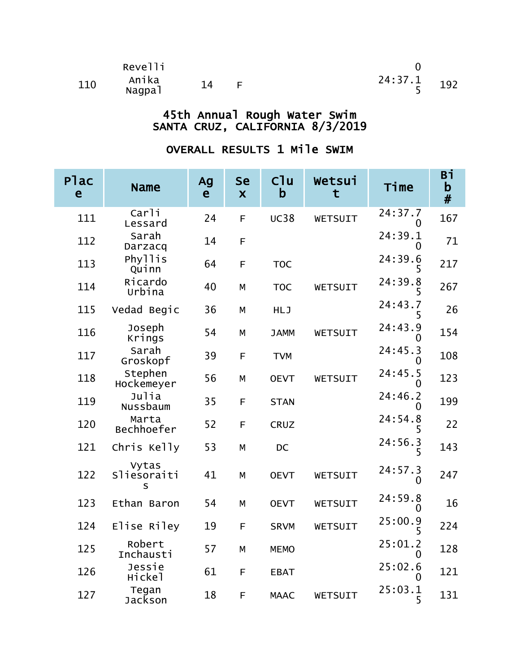|     | Revelli         |    |               |  |
|-----|-----------------|----|---------------|--|
| 110 | Anika<br>Nagpal | 14 | $24:37.1$ 192 |  |

| <b>Plac</b><br>e | <b>Name</b>               | Ag<br>e | <b>Se</b><br>$\boldsymbol{\mathsf{X}}$ | Cl <sub>u</sub><br>$\mathsf b$ | Wetsui<br>t | Time         | Вi<br>$\mathbf b$<br># |
|------------------|---------------------------|---------|----------------------------------------|--------------------------------|-------------|--------------|------------------------|
| 111              | Carli<br>Lessard          | 24      | F                                      | <b>UC38</b>                    | WETSUIT     | 24:37.7      | 167                    |
| 112              | Sarah<br>Darzacq          | 14      | F                                      |                                |             | 24:39.1      | 71                     |
| 113              | Phyllis<br>Quinn          | 64      | F                                      | <b>TOC</b>                     |             | 24:39.6      | 217                    |
| 114              | Ricardo<br>Urbina         | 40      | M                                      | <b>TOC</b>                     | WETSUIT     | 24:39.8      | 267                    |
| 115              | Vedad Begic               | 36      | M                                      | <b>HLJ</b>                     |             | 24:43.7      | 26                     |
| 116              | Joseph<br>Krings          | 54      | M                                      | <b>JAMM</b>                    | WETSUIT     | 24:43.9<br>O | 154                    |
| 117              | Sarah<br>Groskopf         | 39      | F                                      | <b>TVM</b>                     |             | 24:45.3<br>0 | 108                    |
| 118              | Stephen<br>Hockemeyer     | 56      | M                                      | <b>OEVT</b>                    | WETSUIT     | 24:45.5<br>O | 123                    |
| 119              | Julia<br>Nussbaum         | 35      | F                                      | <b>STAN</b>                    |             | 24:46.2<br>O | 199                    |
| 120              | Marta<br>Bechhoefer       | 52      | F                                      | <b>CRUZ</b>                    |             | 24:54.8<br>5 | 22                     |
| 121              | Chris Kelly               | 53      | M                                      | <b>DC</b>                      |             | 24:56.3<br>5 | 143                    |
| 122              | Vytas<br>Sliesoraiti<br>S | 41      | M                                      | <b>OEVT</b>                    | WETSUIT     | 24:57.3      | 247                    |
| 123              | Ethan Baron               | 54      | M                                      | <b>OEVT</b>                    | WETSUIT     | 24:59.8<br>0 | 16                     |
| 124              | Elise Riley               | 19      | F                                      | <b>SRVM</b>                    | WETSUIT     | 25:00.9<br>5 | 224                    |
| 125              | Robert<br>Inchausti       | 57      | M                                      | <b>MEMO</b>                    |             | 25:01.2<br>0 | 128                    |
| 126              | Jessie<br>Hickel          | 61      | F                                      | <b>EBAT</b>                    |             | 25:02.6<br>O | 121                    |
| 127              | Tegan<br>Jackson          | 18      | F                                      | <b>MAAC</b>                    | WETSUIT     | 25:03.1<br>5 | 131                    |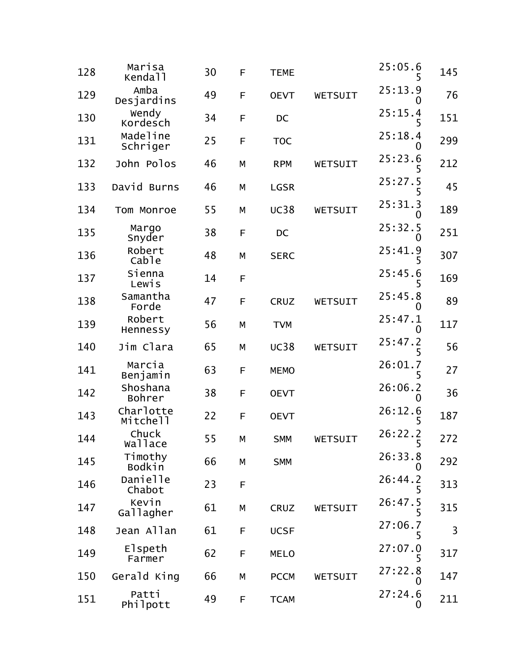| 128 | Marisa<br>Kendall       | 30 | F | <b>TEME</b> |         | 25:05.6<br>5 | 145 |
|-----|-------------------------|----|---|-------------|---------|--------------|-----|
| 129 | Amba<br>Desjardins      | 49 | F | <b>OEVT</b> | WETSUIT | 25:13.9      | 76  |
| 130 | Wendy<br>Kordesch       | 34 | F | DC          |         | 25:15.4<br>5 | 151 |
| 131 | Madeline<br>Schriger    | 25 | F | <b>TOC</b>  |         | 25:18.4<br>0 | 299 |
| 132 | John Polos              | 46 | M | <b>RPM</b>  | WETSUIT | 25:23.6<br>5 | 212 |
| 133 | David Burns             | 46 | M | <b>LGSR</b> |         | 25:27.5      | 45  |
| 134 | Tom Monroe              | 55 | M | <b>UC38</b> | WETSUIT | 25:31.3      | 189 |
| 135 | Margo<br>Snyder         | 38 | F | DC          |         | 25:32.5      | 251 |
| 136 | Robert<br>Cable         | 48 | M | <b>SERC</b> |         | 25:41.9<br>5 | 307 |
| 137 | Sienna<br>Lewis         | 14 | F |             |         | 25:45.6      | 169 |
| 138 | Samantha<br>Forde       | 47 | F | <b>CRUZ</b> | WETSUIT | 25:45.8<br>0 | 89  |
| 139 | Robert<br>Hennessy      | 56 | Μ | <b>TVM</b>  |         | 25:47.1<br>O | 117 |
| 140 | Jim Clara               | 65 | M | <b>UC38</b> | WETSUIT | 25:47.2<br>5 | 56  |
| 141 | Marcia<br>Benjamin      | 63 | F | <b>MEMO</b> |         | 26:01.7      | 27  |
| 142 | Shoshana<br>Bohrer      | 38 | F | <b>OEVT</b> |         | 26:06.2<br>0 | 36  |
| 143 | Charlotte<br>Mitchell   | 22 | F | <b>OEVT</b> |         | 26:12.6      | 187 |
| 144 | Chuck<br><b>Wallace</b> | 55 | М | <b>SMM</b>  | WETSUIT | 26:22.2<br>5 | 272 |
| 145 | Timothy<br>Bodkin       | 66 | М | <b>SMM</b>  |         | 26:33.8      | 292 |
| 146 | Danielle<br>Chabot      | 23 | F |             |         | 26:44.2<br>5 | 313 |
| 147 | Kevin<br>Gallagher      | 61 | М | CRUZ        | WETSUIT | 26:47.5      | 315 |
| 148 | Jean Allan              | 61 | F | <b>UCSF</b> |         | 27:06.7<br>5 | 3   |
| 149 | Elspeth<br>Farmer       | 62 | F | <b>MELO</b> |         | 27:07.0<br>5 | 317 |
| 150 | Gerald King             | 66 | М | <b>PCCM</b> | WETSUIT | 27:22.8<br>O | 147 |
| 151 | Patti<br>Philpott       | 49 | F | <b>TCAM</b> |         | 27:24.6<br>0 | 211 |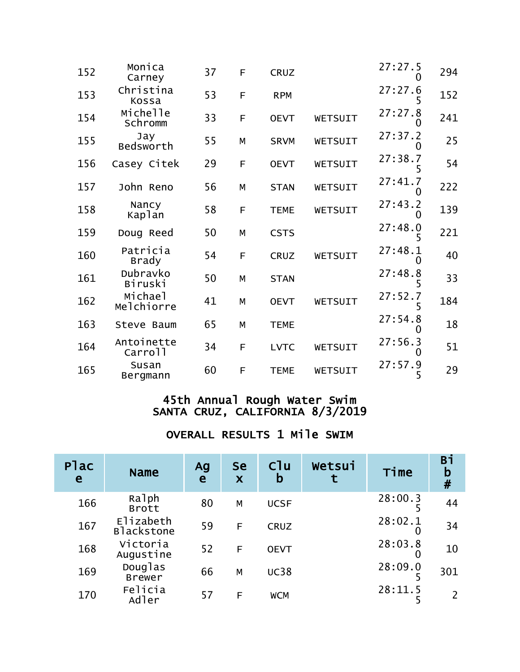| 152 | Monica<br>Carney         | 37 | F | <b>CRUZ</b> |         | 27:27.5      | 294 |
|-----|--------------------------|----|---|-------------|---------|--------------|-----|
| 153 | Christina<br>Kossa       | 53 | F | <b>RPM</b>  |         | 27:27.6      | 152 |
| 154 | Michelle<br>Schromm      | 33 | F | <b>OEVT</b> | WETSUIT | 27:27.8      | 241 |
| 155 | Jay<br>Bedsworth         | 55 | M | <b>SRVM</b> | WETSUIT | 27:37.2      | 25  |
| 156 | Casey Citek              | 29 | F | <b>OEVT</b> | WETSUIT | 27:38.7<br>5 | 54  |
| 157 | John Reno                | 56 | M | <b>STAN</b> | WETSUIT | 27:41.7      | 222 |
| 158 | Nancy<br>Kaplan          | 58 | F | <b>TEME</b> | WETSUIT | 27:43.2      | 139 |
| 159 | Doug Reed                | 50 | M | <b>CSTS</b> |         | 27:48.0      | 221 |
| 160 | Patricia<br><b>Brady</b> | 54 | F | <b>CRUZ</b> | WETSUIT | 27:48.1      | 40  |
| 161 | Dubravko<br>Biruski      | 50 | M | <b>STAN</b> |         | 27:48.8      | 33  |
| 162 | Michael<br>Melchiorre    | 41 | M | <b>OEVT</b> | WETSUIT | 27:52.7      | 184 |
| 163 | Steve Baum               | 65 | M | <b>TEME</b> |         | 27:54.8      | 18  |
| 164 | Antoinette<br>Carroll    | 34 | F | <b>LVTC</b> | WETSUIT | 27:56.3      | 51  |
| 165 | Susan<br>Bergmann        | 60 | F | <b>TEME</b> | WETSUIT | 27:57.9<br>5 | 29  |

| Plac<br>e | <b>Name</b>              | Ag<br>e | <b>Se</b><br>X | C <sup>1</sup> u<br>b | Wetsui | Time         | Bi<br>$\mathbf b$<br># |
|-----------|--------------------------|---------|----------------|-----------------------|--------|--------------|------------------------|
| 166       | Ralph<br><b>Brott</b>    | 80      | M              | <b>UCSF</b>           |        | 28:00.3      | 44                     |
| 167       | Elizabeth<br>Blackstone  | 59      | F              | <b>CRUZ</b>           |        | 28:02.1      | 34                     |
| 168       | Victoria<br>Augustine    | 52      | F              | <b>OEVT</b>           |        | 28:03.8<br>O | 10                     |
| 169       | Douglas<br><b>Brewer</b> | 66      | M              | <b>UC38</b>           |        | 28:09.0      | 301                    |
| 170       | Felicia<br>Adler         | 57      | F              | <b>WCM</b>            |        | 28:11.5      | 2                      |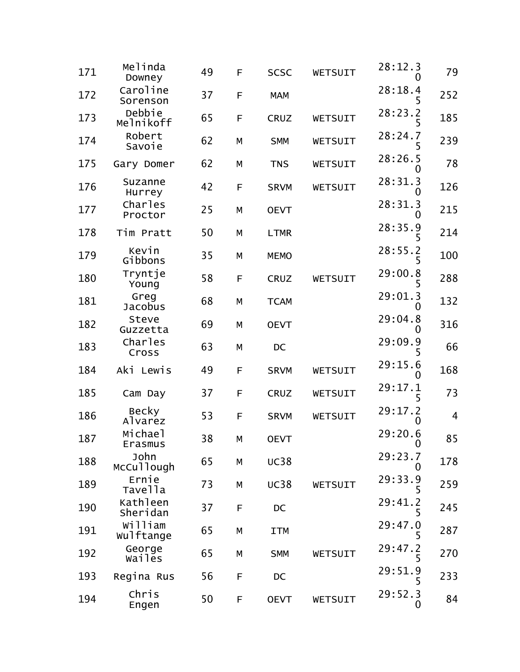| 171 | Melinda<br>Downey         | 49 | F | <b>SCSC</b> | WETSUIT | 28:12.3<br>0 | 79             |
|-----|---------------------------|----|---|-------------|---------|--------------|----------------|
| 172 | Caroline<br>Sorenson      | 37 | F | <b>MAM</b>  |         | 28:18.4      | 252            |
| 173 | Debbie<br>Melnikoff       | 65 | F | <b>CRUZ</b> | WETSUIT | 28:23.2<br>5 | 185            |
| 174 | Robert<br>Savoie          | 62 | M | <b>SMM</b>  | WETSUIT | 28:24.7<br>5 | 239            |
| 175 | Gary Domer                | 62 | М | <b>TNS</b>  | WETSUIT | 28:26.5      | 78             |
| 176 | Suzanne<br>Hurrey         | 42 | F | <b>SRVM</b> | WETSUIT | 28:31.3      | 126            |
| 177 | <b>Charles</b><br>Proctor | 25 | M | <b>OEVT</b> |         | 28:31.3      | 215            |
| 178 | Tim Pratt                 | 50 | M | <b>LTMR</b> |         | 28:35.9      | 214            |
| 179 | Kevin<br>Gibbons          | 35 | М | <b>MEMO</b> |         | 28:55.2<br>5 | 100            |
| 180 | Tryntje<br>Young          | 58 | F | <b>CRUZ</b> | WETSUIT | 29:00.8      | 288            |
| 181 | Greg<br><b>Jacobus</b>    | 68 | М | <b>TCAM</b> |         | 29:01.3      | 132            |
| 182 | Steve<br>Guzzetta         | 69 | M | <b>OEVT</b> |         | 29:04.8      | 316            |
| 183 | Charles<br>Cross          | 63 | М | DC          |         | 29:09.9      | 66             |
| 184 | Aki Lewis                 | 49 | F | <b>SRVM</b> | WETSUIT | 29:15.6      | 168            |
| 185 | Cam Day                   | 37 | F | <b>CRUZ</b> | WETSUIT | 29:17.1<br>5 | 73             |
| 186 | <b>Becky</b><br>Alvarez   | 53 | F | <b>SRVM</b> | WETSUIT | 29:17.2<br>0 | $\overline{4}$ |
| 187 | Michael<br>Erasmus        | 38 | М | <b>OEVT</b> |         | 29:20.6<br>U | 85             |
| 188 | John<br>McCullough        | 65 | М | <b>UC38</b> |         | 29:23.7<br>0 | 178            |
| 189 | Ernie<br>Tavella          | 73 | М | <b>UC38</b> | WETSUIT | 29:33.9      | 259            |
| 190 | Kathleen<br>Sheridan      | 37 | F | DC          |         | 29:41.2      | 245            |
| 191 | William<br>wulftange      | 65 | М | <b>ITM</b>  |         | 29:47.0<br>5 | 287            |
| 192 | George<br><b>Wailes</b>   | 65 | М | <b>SMM</b>  | WETSUIT | 29:47.2<br>5 | 270            |
| 193 | Regina Rus                | 56 | F | DC          |         | 29:51.9      | 233            |
| 194 | Chris<br>Engen            | 50 | F | <b>OEVT</b> | WETSUIT | 29:52.3<br>0 | 84             |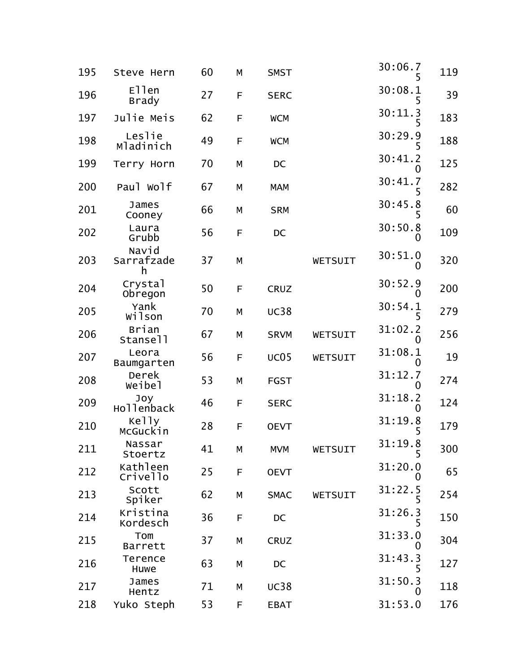| 195 | Steve Hern               | 60 | M | <b>SMST</b> |         | 30:06.7                 | 119 |
|-----|--------------------------|----|---|-------------|---------|-------------------------|-----|
| 196 | Ellen<br><b>Brady</b>    | 27 | F | <b>SERC</b> |         | 30:08.1                 | 39  |
| 197 | Julie Meis               | 62 | F | <b>WCM</b>  |         | 30:11.3                 | 183 |
| 198 | Leslie<br>Mladinich      | 49 | F | <b>WCM</b>  |         | 30:29.9                 | 188 |
| 199 | Terry Horn               | 70 | M | DC          |         | 30:41.2<br>O            | 125 |
| 200 | Paul Wolf                | 67 | М | <b>MAM</b>  |         | 30:41.7                 | 282 |
| 201 | James<br>Cooney          | 66 | M | <b>SRM</b>  |         | 30:45.8<br>5            | 60  |
| 202 | Laura<br>Grubb           | 56 | F | DC          |         | 30:50.8<br>O            | 109 |
| 203 | Navid<br>Sarrafzade<br>h | 37 | M |             | WETSUIT | 30:51.0<br>O            | 320 |
| 204 | Crystal<br>Obregon       | 50 | F | CRUZ        |         | 30:52.9                 | 200 |
| 205 | Yank<br>wilson           | 70 | M | <b>UC38</b> |         | 30:54.1<br>5            | 279 |
| 206 | Brian<br>Stansell        | 67 | М | <b>SRVM</b> | WETSUIT | 31:02.2<br>$\mathbf{0}$ | 256 |
| 207 | Leora<br>Baumgarten      | 56 | F | <b>UC05</b> | WETSUIT | 31:08.1<br>0            | 19  |
| 208 | Derek<br>Weibel          | 53 | М | <b>FGST</b> |         | 31:12.7<br>$\mathbf{0}$ | 274 |
| 209 | Joy<br>Hollenback        | 46 | F | <b>SERC</b> |         | 31:18.2<br>O            | 124 |
| 210 | Kelly<br>McGuckin        | 28 | F | <b>OEVT</b> |         | 31:19.8                 | 179 |
| 211 | Nassar<br>Stoertz        | 41 | М | <b>MVM</b>  | WETSUIT | 31:19.8<br>5            | 300 |
| 212 | Kathleen<br>Crivello     | 25 | F | <b>OEVT</b> |         | 31:20.0<br>O            | 65  |
| 213 | Scott<br>Spiker          | 62 | М | <b>SMAC</b> | WETSUIT | 31:22.5<br>5            | 254 |
| 214 | Kristina<br>Kordesch     | 36 | F | DC          |         | 31:26.3                 | 150 |
| 215 | Tom<br>Barrett           | 37 | М | <b>CRUZ</b> |         | 31:33.0<br>O            | 304 |
| 216 | Terence<br>Huwe          | 63 | М | DC          |         | 31:43.3<br>5            | 127 |
| 217 | James<br>Hentz           | 71 | М | <b>UC38</b> |         | 31:50.3<br>0            | 118 |
| 218 | Yuko Steph               | 53 | F | <b>EBAT</b> |         | 31:53.0                 | 176 |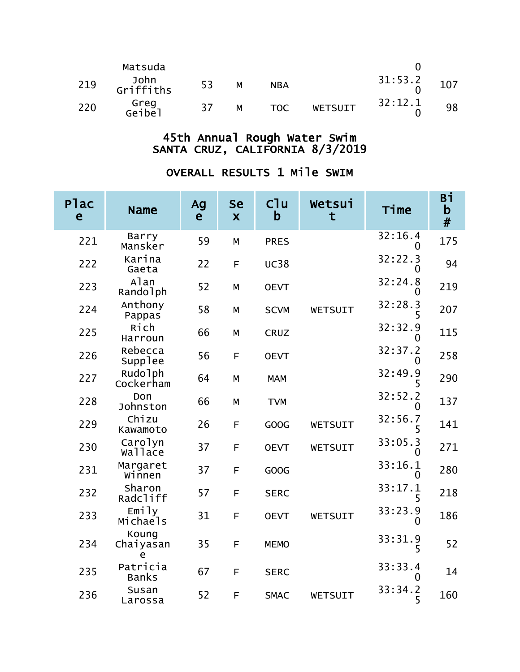|     | Matsuda           |     |   |            |                |         |     |
|-----|-------------------|-----|---|------------|----------------|---------|-----|
| 219 | John<br>Griffiths | 53  | M | <b>NBA</b> |                | 31:53.2 | 107 |
| 220 | Greg<br>Geibel    | -37 | м | <b>TOC</b> | <b>WETSUIT</b> | 32:12.1 | 98  |

| <b>Plac</b><br>e | <b>Name</b>              | Ag<br>$\mathbf{e}$ | Se<br>$\overline{\mathbf{X}}$ | C1u<br>b    | Wetsui<br>t | Time                    | Bi<br>$\mathbf b$<br># |
|------------------|--------------------------|--------------------|-------------------------------|-------------|-------------|-------------------------|------------------------|
| 221              | Barry<br>Mansker         | 59                 | M                             | <b>PRES</b> |             | 32:16.4<br>0            | 175                    |
| 222              | Karina<br>Gaeta          | 22                 | F                             | <b>UC38</b> |             | 32:22.3<br>$\Omega$     | 94                     |
| 223              | Alan<br>Randolph         | 52                 | M                             | <b>OEVT</b> |             | 32:24.8<br>O            | 219                    |
| 224              | Anthony<br>Pappas        | 58                 | M                             | <b>SCVM</b> | WETSUIT     | 32:28.3<br>5            | 207                    |
| 225              | Rich<br>Harroun          | 66                 | M                             | <b>CRUZ</b> |             | 32:32.9<br>0            | 115                    |
| 226              | Rebecca<br>Supplee       | 56                 | F                             | <b>OEVT</b> |             | 32:37.2<br>0            | 258                    |
| 227              | Rudolph<br>Cockerham     | 64                 | M                             | <b>MAM</b>  |             | 32:49.9                 | 290                    |
| 228              | Don<br>Johnston          | 66                 | M                             | <b>TVM</b>  |             | 32:52.2<br>$\Omega$     | 137                    |
| 229              | Chizu<br>Kawamoto        | 26                 | F                             | <b>GOOG</b> | WETSUIT     | 32:56.7<br>5            | 141                    |
| 230              | Carolyn<br>wallace       | 37                 | F                             | <b>OEVT</b> | WETSUIT     | 33:05.3<br>$\mathbf{0}$ | 271                    |
| 231              | Margaret<br>Winnen       | 37                 | F                             | GOOG        |             | 33:16.1<br>0            | 280                    |
| 232              | Sharon<br>Radcliff       | 57                 | F                             | <b>SERC</b> |             | 33:17.1<br>5            | 218                    |
| 233              | Emily<br>Michaels        | 31                 | F                             | <b>OEVT</b> | WETSUIT     | 33:23.9<br>0            | 186                    |
| 234              | Koung<br>Chaiyasan<br>e  | 35                 | F                             | <b>MEMO</b> |             | 33:31.9<br>5            | 52                     |
| 235              | Patricia<br><b>Banks</b> | 67                 | F                             | <b>SERC</b> |             | 33:33.4<br>0            | 14                     |
| 236              | Susan<br>Larossa         | 52                 | F                             | <b>SMAC</b> | WETSUIT     | 33:34.2<br>5            | 160                    |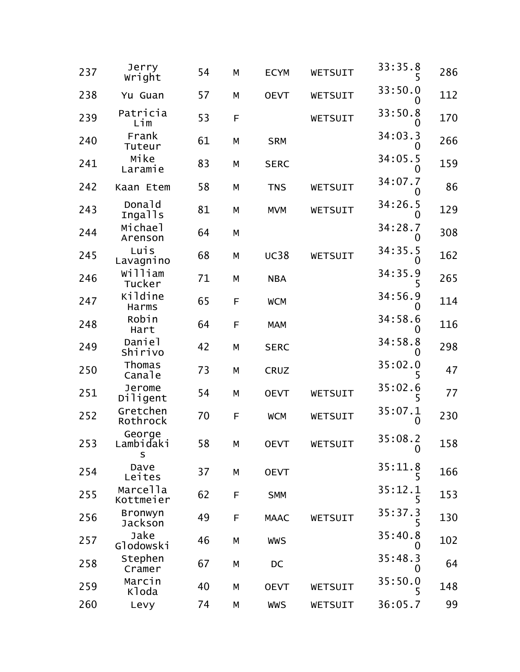| 237 | Jerry<br>Wright          | 54 | М | <b>ECYM</b> | WETSUIT | 33:35.8                | 286 |
|-----|--------------------------|----|---|-------------|---------|------------------------|-----|
| 238 | Yu Guan                  | 57 | M | <b>OEVT</b> | WETSUIT | 33:50.0                | 112 |
| 239 | Patricia<br>Lim          | 53 | F |             | WETSUIT | 33:50.8                | 170 |
| 240 | Frank<br>Tuteur          | 61 | М | <b>SRM</b>  |         | 34:03.3                | 266 |
| 241 | Mike<br>Laramie          | 83 | M | <b>SERC</b> |         | 34:05.5                | 159 |
| 242 | Kaan Etem                | 58 | М | <b>TNS</b>  | WETSUIT | 34:07.7                | 86  |
| 243 | Donald<br>Ingalls        | 81 | M | <b>MVM</b>  | WETSUIT | 34:26.5                | 129 |
| 244 | Michael<br>Arenson       | 64 | М |             |         | 34:28.7<br>0           | 308 |
| 245 | Luis<br>Lavagnino        | 68 | М | <b>UC38</b> | WETSUIT | 34:35.5                | 162 |
| 246 | William<br>Tucker        | 71 | M | <b>NBA</b>  |         | 34:35.9                | 265 |
| 247 | Kildine<br>Harms         | 65 | F | <b>WCM</b>  |         | 34:56.9                | 114 |
| 248 | Robin<br>Hart            | 64 | F | <b>MAM</b>  |         | 34:58.6                | 116 |
| 249 | Daniel<br>Shirivo        | 42 | M | <b>SERC</b> |         | 34:58.8                | 298 |
| 250 | Thomas<br>Canale         | 73 | M | <b>CRUZ</b> |         | 35:02.0                | 47  |
| 251 | Jerome<br>Diligent       | 54 | M | <b>OEVT</b> | WETSUIT | 35:02.6                | 77  |
| 252 | Gretchen<br>Rothrock     | 70 | F | <b>WCM</b>  | WETSUIT | 35:07.1<br>0           | 230 |
| 253 | George<br>Lambidaki<br>S | 58 | М | <b>OEVT</b> | WETSUIT | 35:08.2<br>$\mathbf 0$ | 158 |
| 254 | Dave<br>Leites           | 37 | М | <b>OEVT</b> |         | 35:11.8<br>5           | 166 |
| 255 | Marcella<br>Kottmeier    | 62 | F | <b>SMM</b>  |         | 35:12.1<br>5           | 153 |
| 256 | Bronwyn<br>Jackson       | 49 | F | <b>MAAC</b> | WETSUIT | 35:37.3                | 130 |
| 257 | Jake<br>Glodowski        | 46 | M | <b>WWS</b>  |         | 35:40.8<br>0           | 102 |
| 258 | Stephen<br>Cramer        | 67 | М | DC          |         | 35:48.3<br>0           | 64  |
| 259 | Marcin<br>Kloda          | 40 | М | <b>OEVT</b> | WETSUIT | 35:50.0                | 148 |
| 260 | Levy                     | 74 | М | <b>WWS</b>  | WETSUIT | 36:05.7                | 99  |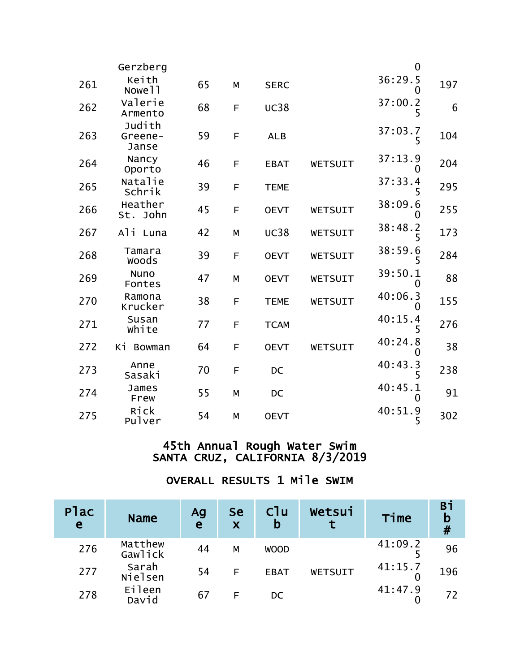|     | Gerzberg                    |    |   |             |         | $\overline{0}$          |     |
|-----|-----------------------------|----|---|-------------|---------|-------------------------|-----|
| 261 | Keith<br>Nowe <sub>11</sub> | 65 | M | <b>SERC</b> |         | 36:29.5<br>0            | 197 |
| 262 | Valerie<br>Armento          | 68 | F | <b>UC38</b> |         | 37:00.2<br>5            | 6   |
| 263 | Judith<br>Greene-<br>Janse  | 59 | F | <b>ALB</b>  |         | 37:03.7<br>5            | 104 |
| 264 | Nancy<br>Oporto             | 46 | F | <b>EBAT</b> | WETSUIT | 37:13.9<br>$\mathbf{0}$ | 204 |
| 265 | Natalie<br>Schrik           | 39 | F | <b>TEME</b> |         | 37:33.4<br>5            | 295 |
| 266 | Heather<br>St. John         | 45 | F | <b>OEVT</b> | WETSUIT | 38:09.6                 | 255 |
| 267 | Ali Luna                    | 42 | M | <b>UC38</b> | WETSUIT | 38:48.2<br>5            | 173 |
| 268 | Tamara<br><b>Woods</b>      | 39 | F | <b>OEVT</b> | WETSUIT | 38:59.6<br>5            | 284 |
| 269 | <b>Nuno</b><br>Fontes       | 47 | M | <b>OEVT</b> | WETSUIT | 39:50.1<br>$\mathbf{0}$ | 88  |
| 270 | Ramona<br>Krucker           | 38 | F | <b>TEME</b> | WETSUIT | 40:06.3<br>O            | 155 |
| 271 | Susan<br>white              | 77 | F | <b>TCAM</b> |         | 40:15.4<br>5            | 276 |
| 272 | Кi<br><b>Bowman</b>         | 64 | F | <b>OEVT</b> | WETSUIT | 40:24.8<br>0            | 38  |
| 273 | Anne<br>Sasaki              | 70 | F | <b>DC</b>   |         | 40:43.3                 | 238 |
| 274 | James<br>Frew               | 55 | M | <b>DC</b>   |         | 40:45.1<br>0            | 91  |
| 275 | Rick<br>Pulver              | 54 | M | <b>OEVT</b> |         | 40:51.9<br>5            | 302 |

| Plac<br>e | <b>Name</b>        | Ag<br>e | <b>Se</b><br>X | C <sup>1</sup> u<br>b | Wetsui  | Time    | Вi<br>$\mathbf b$<br># |
|-----------|--------------------|---------|----------------|-----------------------|---------|---------|------------------------|
| 276       | Matthew<br>Gawlick | 44      | M              | <b>WOOD</b>           |         | 41:09.2 | 96                     |
| 277       | Sarah<br>Nielsen   | 54      | F              | <b>EBAT</b>           | WETSUIT | 41:15.7 | 196                    |
| 278       | Eileen<br>David    | 67      | F              | DC                    |         | 41:47.9 | 72                     |